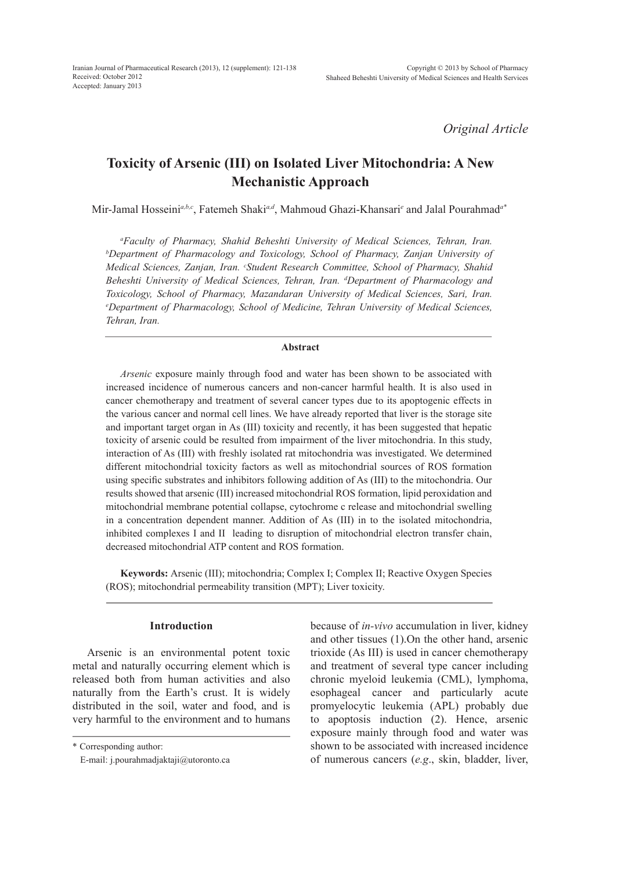*Original Article*

# **Toxicity of Arsenic (III) on Isolated Liver Mitochondria: A New Mechanistic Approach**

Mir-Jamal Hosseini*a,b,c*, Fatemeh Shaki*a,d*, Mahmoud Ghazi-Khansari*<sup>e</sup>* and Jalal Pourahmad*a\**

*a Faculty of Pharmacy, Shahid Beheshti University of Medical Sciences, Tehran, Iran. b Department of Pharmacology and Toxicology, School of Pharmacy, Zanjan University of Medical Sciences, Zanjan, Iran. c Student Research Committee, School of Pharmacy, Shahid Beheshti University of Medical Sciences, Tehran, Iran. d Department of Pharmacology and Toxicology, School of Pharmacy, Mazandaran University of Medical Sciences, Sari, Iran. e Department of Pharmacology, School of Medicine, Tehran University of Medical Sciences, Tehran, Iran.*

#### **Abstract**

*Arsenic* exposure mainly through food and water has been shown to be associated with increased incidence of numerous cancers and non-cancer harmful health. It is also used in cancer chemotherapy and treatment of several cancer types due to its apoptogenic effects in the various cancer and normal cell lines. We have already reported that liver is the storage site and important target organ in As (III) toxicity and recently, it has been suggested that hepatic toxicity of arsenic could be resulted from impairment of the liver mitochondria. In this study, interaction of As (III) with freshly isolated rat mitochondria was investigated. We determined different mitochondrial toxicity factors as well as mitochondrial sources of ROS formation using specific substrates and inhibitors following addition of As (III) to the mitochondria. Our results showed that arsenic (III) increased mitochondrial ROS formation, lipid peroxidation and mitochondrial membrane potential collapse, cytochrome c release and mitochondrial swelling in a concentration dependent manner. Addition of As (III) in to the isolated mitochondria, inhibited complexes I and II leading to disruption of mitochondrial electron transfer chain, decreased mitochondrial ATP content and ROS formation.

**Keywords:** Arsenic (III); mitochondria; Complex I; Complex II; Reactive Oxygen Species (ROS); mitochondrial permeability transition (MPT); Liver toxicity.

#### **Introduction**

Arsenic is an environmental potent toxic metal and naturally occurring element which is released both from human activities and also naturally from the Earth's crust. It is widely distributed in the soil, water and food, and is very harmful to the environment and to humans

\* Corresponding author:

because of *in-vivo* accumulation in liver, kidney and other tissues (1).On the other hand, arsenic trioxide (As III) is used in cancer chemotherapy and treatment of several type cancer including chronic myeloid leukemia (CML), lymphoma, esophageal cancer and particularly acute promyelocytic leukemia (APL) probably due to apoptosis induction (2). Hence, arsenic exposure mainly through food and water was shown to be associated with increased incidence of numerous cancers (*e.g*., skin, bladder, liver,

E-mail: j.pourahmadjaktaji@utoronto.ca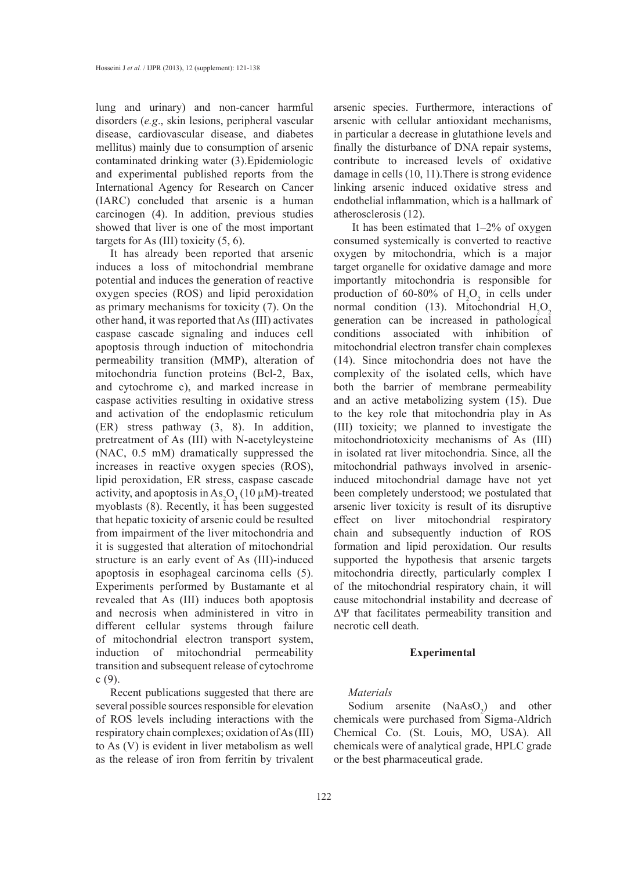lung and urinary) and non-cancer harmful disorders (*e.g*., skin lesions, peripheral vascular disease, cardiovascular disease, and diabetes mellitus) mainly due to consumption of arsenic contaminated drinking water (3).Epidemiologic and experimental published reports from the International Agency for Research on Cancer (IARC) concluded that arsenic is a human carcinogen (4). In addition, previous studies showed that liver is one of the most important targets for As (III) toxicity  $(5, 6)$ .

It has already been reported that arsenic induces a loss of mitochondrial membrane potential and induces the generation of reactive oxygen species (ROS) and lipid peroxidation as primary mechanisms for toxicity (7). On the other hand, it was reported that As (III) activates caspase cascade signaling and induces cell apoptosis through induction of mitochondria permeability transition (MMP), alteration of mitochondria function proteins (Bcl-2, Bax, and cytochrome c), and marked increase in caspase activities resulting in oxidative stress and activation of the endoplasmic reticulum (ER) stress pathway (3, 8). In addition, pretreatment of As (III) with N-acetylcysteine (NAC, 0.5 mM) dramatically suppressed the increases in reactive oxygen species (ROS), lipid peroxidation, ER stress, caspase cascade activity, and apoptosis in  $\text{As}_2\text{O}_3(10 \,\mu\text{M})$ -treated myoblasts (8). Recently, it has been suggested that hepatic toxicity of arsenic could be resulted from impairment of the liver mitochondria and it is suggested that alteration of mitochondrial structure is an early event of As (III)-induced apoptosis in esophageal carcinoma cells (5). Experiments performed by Bustamante et al revealed that As (III) induces both apoptosis and necrosis when administered in vitro in different cellular systems through failure of mitochondrial electron transport system, induction of mitochondrial permeability transition and subsequent release of cytochrome c (9).

Recent publications suggested that there are several possible sources responsible for elevation of ROS levels including interactions with the respiratory chain complexes; oxidation of As (III) to As (V) is evident in liver metabolism as well as the release of iron from ferritin by trivalent arsenic species. Furthermore, interactions of arsenic with cellular antioxidant mechanisms, in particular a decrease in glutathione levels and finally the disturbance of DNA repair systems, contribute to increased levels of oxidative damage in cells (10, 11).There is strong evidence linking arsenic induced oxidative stress and endothelial inflammation, which is a hallmark of atherosclerosis (12).

 It has been estimated that 1–2% of oxygen consumed systemically is converted to reactive oxygen by mitochondria, which is a major target organelle for oxidative damage and more importantly mitochondria is responsible for production of 60-80% of  $H_2O_2$  in cells under normal condition (13). Mitochondrial  $H_2O_2$ generation can be increased in pathological conditions associated with inhibition of mitochondrial electron transfer chain complexes (14). Since mitochondria does not have the complexity of the isolated cells, which have both the barrier of membrane permeability and an active metabolizing system (15). Due to the key role that mitochondria play in As (III) toxicity; we planned to investigate the mitochondriotoxicity mechanisms of As (III) in isolated rat liver mitochondria. Since, all the mitochondrial pathways involved in arsenicinduced mitochondrial damage have not yet been completely understood; we postulated that arsenic liver toxicity is result of its disruptive effect on liver mitochondrial respiratory chain and subsequently induction of ROS formation and lipid peroxidation. Our results supported the hypothesis that arsenic targets mitochondria directly, particularly complex I of the mitochondrial respiratory chain, it will cause mitochondrial instability and decrease of ΔΨ that facilitates permeability transition and necrotic cell death.

## **Experimental**

#### *Materials*

Sodium arsenite  $(NaAsO<sub>2</sub>)$  and other chemicals were purchased from Sigma-Aldrich Chemical Co. (St. Louis, MO, USA). All chemicals were of analytical grade, HPLC grade or the best pharmaceutical grade.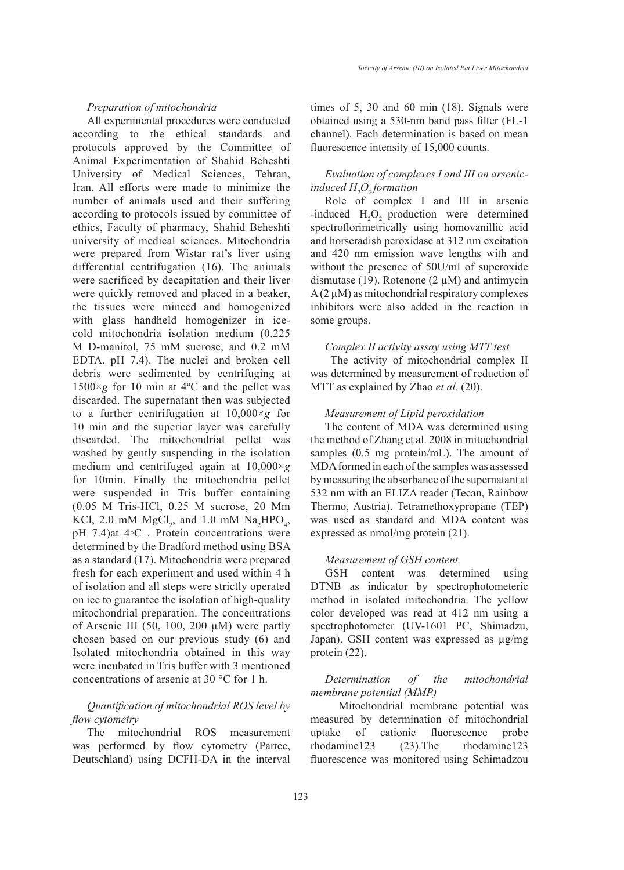## *Preparation of mitochondria*

All experimental procedures were conducted according to the ethical standards and protocols approved by the Committee of Animal Experimentation of Shahid Beheshti University of Medical Sciences, Tehran, Iran. All efforts were made to minimize the number of animals used and their suffering according to protocols issued by committee of ethics, Faculty of pharmacy, Shahid Beheshti university of medical sciences. Mitochondria were prepared from Wistar rat's liver using differential centrifugation (16). The animals were sacrificed by decapitation and their liver were quickly removed and placed in a beaker, the tissues were minced and homogenized with glass handheld homogenizer in icecold mitochondria isolation medium (0.225 M D-manitol, 75 mM sucrose, and 0.2 mM EDTA, pH 7.4). The nuclei and broken cell debris were sedimented by centrifuging at  $1500 \times g$  for 10 min at 4<sup>o</sup>C and the pellet was discarded. The supernatant then was subjected to a further centrifugation at 10,000×*g* for 10 min and the superior layer was carefully discarded. The mitochondrial pellet was washed by gently suspending in the isolation medium and centrifuged again at 10,000×*g*  for 10min. Finally the mitochondria pellet were suspended in Tris buffer containing (0.05 M Tris-HCl, 0.25 M sucrose, 20 Mm KCl, 2.0 mM  $MgCl<sub>2</sub>$ , and 1.0 mM  $Na<sub>2</sub>HPO<sub>4</sub>$ , pH 7.4)at 4◦C . Protein concentrations were determined by the Bradford method using BSA as a standard (17). Mitochondria were prepared fresh for each experiment and used within 4 h of isolation and all steps were strictly operated on ice to guarantee the isolation of high-quality mitochondrial preparation. The concentrations of Arsenic III (50, 100, 200  $\mu$ M) were partly chosen based on our previous study (6) and Isolated mitochondria obtained in this way were incubated in Tris buffer with 3 mentioned concentrations of arsenic at 30 °C for 1 h.

## *Quantification of mitochondrial ROS level by flow cytometry*

The mitochondrial ROS measurement was performed by flow cytometry (Partec, Deutschland) using DCFH-DA in the interval times of 5, 30 and 60 min (18). Signals were obtained using a 530-nm band pass filter (FL-1 channel). Each determination is based on mean fluorescence intensity of 15,000 counts.

## *Evaluation of complexes I and III on arsenicinduced H2 O2 formation*

Role of complex I and III in arsenic -induced  $H_2O_2$  production were determined spectroflorimetrically using homovanillic acid and horseradish peroxidase at 312 nm excitation and 420 nm emission wave lengths with and without the presence of 50U/ml of superoxide dismutase (19). Rotenone (2  $\mu$ M) and antimycin  $A(2 \mu M)$  as mitochondrial respiratory complexes inhibitors were also added in the reaction in some groups.

## *Complex II activity assay using MTT test*

The activity of mitochondrial complex II was determined by measurement of reduction of MTT as explained by Zhao *et al.* (20).

## *Measurement of Lipid peroxidation*

The content of MDA was determined using the method of Zhang et al. 2008 in mitochondrial samples (0.5 mg protein/mL). The amount of MDA formed in each of the samples was assessed by measuring the absorbance of the supernatant at 532 nm with an ELIZA reader (Tecan, Rainbow Thermo, Austria). Tetramethoxypropane (TEP) was used as standard and MDA content was expressed as nmol/mg protein (21).

#### *Measurement of GSH content*

GSH content was determined using DTNB as indicator by spectrophotometeric method in isolated mitochondria. The yellow color developed was read at 412 nm using a spectrophotometer (UV-1601 PC, Shimadzu, Japan). GSH content was expressed as µg/mg protein (22).

## *Determination of the mitochondrial membrane potential (MMP)*

Mitochondrial membrane potential was measured by determination of mitochondrial uptake of cationic fluorescence probe rhodamine123 (23).The rhodamine123 fluorescence was monitored using Schimadzou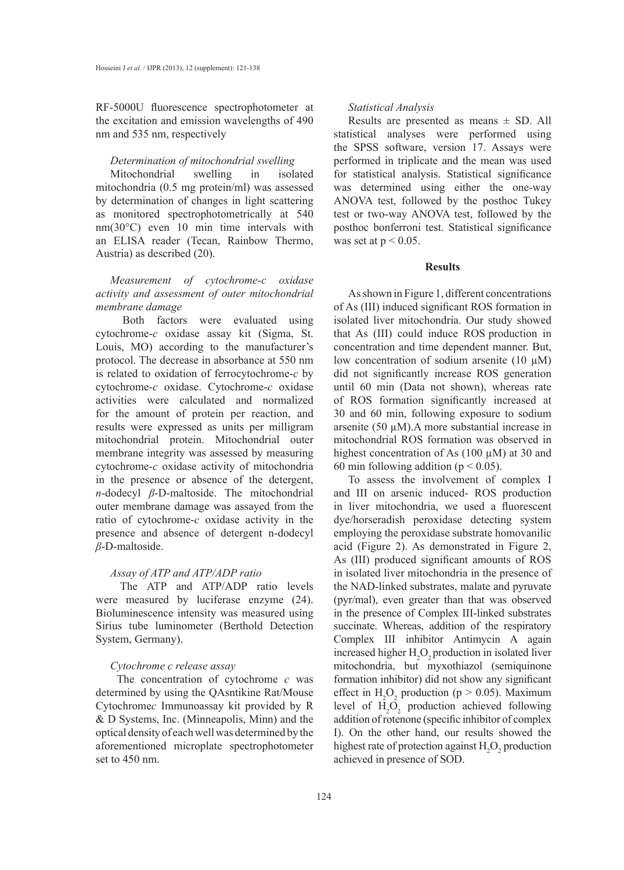RF-5000U fluorescence spectrophotometer at the excitation and emission wavelengths of 490 nm and 535 nm, respectively

#### *Determination of mitochondrial swelling*

Mitochondrial swelling in isolated mitochondria (0.5 mg protein/ml) was assessed by determination of changes in light scattering as monitored spectrophotometrically at 540 nm(30°C) even 10 min time intervals with an ELISA reader (Tecan, Rainbow Thermo, Austria) as described (20).

## *Measurement of cytochrome-c oxidase activity and assessment of outer mitochondrial membrane damage*

 Both factors were evaluated using cytochrome-*c* oxidase assay kit (Sigma, St. Louis, MO) according to the manufacturer's protocol. The decrease in absorbance at 550 nm is related to oxidation of ferrocytochrome-*c* by cytochrome-*c* oxidase. Cytochrome-*c* oxidase activities were calculated and normalized for the amount of protein per reaction, and results were expressed as units per milligram mitochondrial protein. Mitochondrial outer membrane integrity was assessed by measuring cytochrome-*c* oxidase activity of mitochondria in the presence or absence of the detergent, *n*-dodecyl *β*-D-maltoside. The mitochondrial outer membrane damage was assayed from the ratio of cytochrome-*c* oxidase activity in the presence and absence of detergent n-dodecyl *β*-D-maltoside.

#### *Assay of ATP and ATP/ADP ratio*

The ATP and ATP/ADP ratio levels were measured by luciferase enzyme (24). Bioluminescence intensity was measured using Sirius tube luminometer (Berthold Detection System, Germany).

#### *Cytochrome c release assay*

The concentration of cytochrome *c* was determined by using the QAsntikine Rat/Mouse Cytochrome*c* Immunoassay kit provided by R & D Systems, Inc. (Minneapolis, Minn) and the optical density of each well was determined by the aforementioned microplate spectrophotometer set to 450 nm.

#### *Statistical Analysis*

Results are presented as means  $\pm$  SD. All statistical analyses were performed using the SPSS software, version 17. Assays were performed in triplicate and the mean was used for statistical analysis. Statistical significance was determined using either the one-way ANOVA test, followed by the posthoc Tukey test or two-way ANOVA test, followed by the posthoc bonferroni test. Statistical significance was set at  $p < 0.05$ .

#### **Results**

As shown in Figure 1, different concentrations of As (III) induced significant ROS formation in isolated liver mitochondria. Our study showed that As (III) could induce ROS production in concentration and time dependent manner. But, low concentration of sodium arsenite  $(10 \mu M)$ did not significantly increase ROS generation until 60 min (Data not shown), whereas rate of ROS formation significantly increased at 30 and 60 min, following exposure to sodium arsenite (50 µM).A more substantial increase in mitochondrial ROS formation was observed in highest concentration of As (100  $\mu$ M) at 30 and 60 min following addition ( $p < 0.05$ ).

To assess the involvement of complex I and III on arsenic induced- ROS production in liver mitochondria, we used a fluorescent dye/horseradish peroxidase detecting system employing the peroxidase substrate homovanilic acid (Figure 2). As demonstrated in Figure 2, As (III) produced significant amounts of ROS in isolated liver mitochondria in the presence of the NAD-linked substrates, malate and pyruvate (pyr/mal), even greater than that was observed in the presence of Complex III-linked substrates succinate. Whereas, addition of the respiratory Complex III inhibitor Antimycin A again increased higher  $H_2O_2$  production in isolated liver mitochondria, but myxothiazol (semiquinone formation inhibitor) did not show any significant effect in  $H_2O_2$  production (p > 0.05). Maximum level of  $H_2O_2$  production achieved following addition of rotenone (specific inhibitor of complex I). On the other hand, our results showed the highest rate of protection against  $H_2O_2$  production achieved in presence of SOD.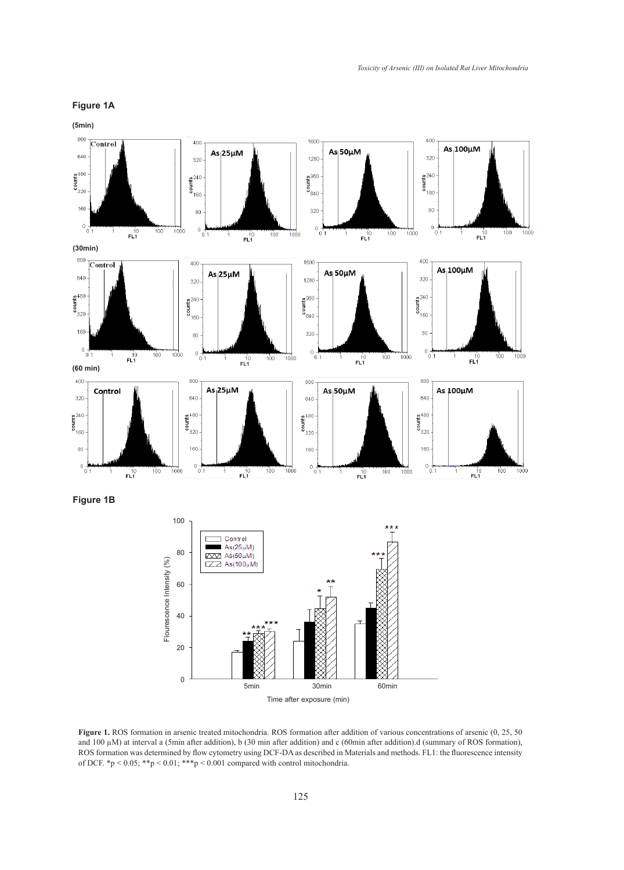## **Figure 1A**



Figure 1. ROS formation in arsenic treated mitochondria. ROS formation after addition of various concentrations of arsenic (0, 25, 50) and 100 µM) at interval a (5min after addition), b (30 min after addition) and c (60min after addition).d (summary of ROS formation), ROS formation was determined by flow cytometry using DCF-DA as described in Materials and methods. FL1: the fluorescence intensity of DCF. \*p < 0.05; \*\*p < 0.01; \*\*\*p < 0.001 compared with control mitochondria.

Time after exposure (min)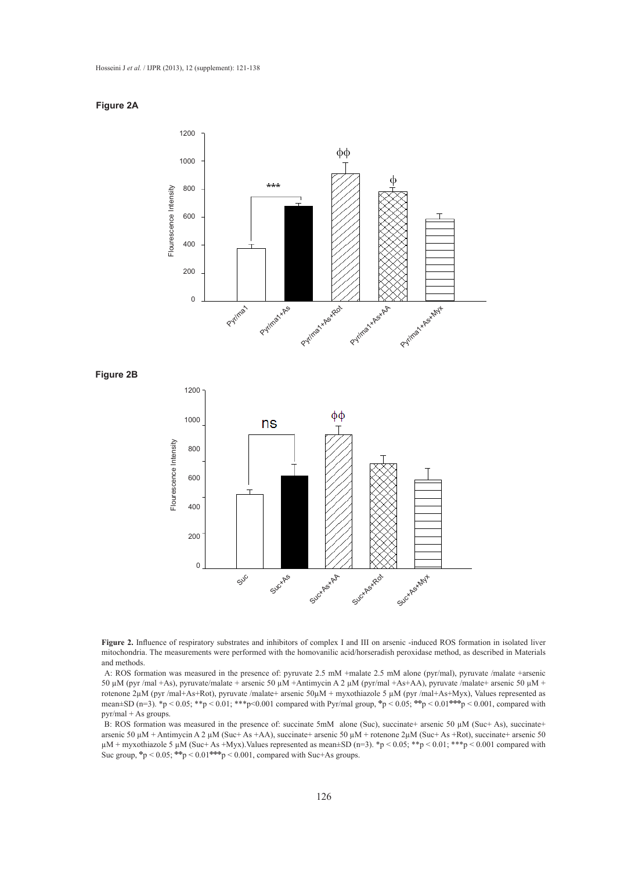#### **Figure 2A**

**Figure 2B**



**Figure 2.** Influence of respiratory substrates and inhibitors of complex I and III on arsenic -induced ROS formation in isolated liver mitochondria. The measurements were performed with the homovanilic acid/horseradish peroxidase method, as described in Materials and methods.

A: ROS formation was measured in the presence of: pyruvate 2.5 mM +malate 2.5 mM alone (pyr/mal), pyruvate /malate +arsenic 50 µM (pyr /mal +As), pyruvate/malate + arsenic 50 µM +Antimycin A 2 µM (pyr/mal +As+AA), pyruvate /malate+ arsenic 50 µM + rotenone 2µM (pyr /mal+As+Rot), pyruvate /malate+ arsenic 50µM + myxothiazole 5 µM (pyr /mal+As+Myx), Values represented as mean±SD (n=3). \*p < 0.05; \*\*p < 0.01; \*\*\*p<0.001 compared with Pyr/mal group, **<sup>Φ</sup>**p < 0.05; **ΦΦ**p < 0.01**ΦΦΦ**p < 0.001, compared with pyr/mal + As groups.

B: ROS formation was measured in the presence of: succinate 5mM alone (Suc), succinate+ arsenic 50 µM (Suc+ As), succinate+ arsenic 50 µM + Antimycin A 2 µM (Suc+ As +AA), succinate+ arsenic 50 µM + rotenone 2µM (Suc+ As +Rot), succinate+ arsenic 50  $\mu$ M + myxothiazole 5  $\mu$ M (Suc+ As +Myx). Values represented as mean±SD (n=3). \*p < 0.05; \*\*p < 0.01; \*\*\*p < 0.001 compared with Suc group, **Φ**p < 0.05; **ΦΦ**p < 0.01**ΦΦΦ**p < 0.001, compared with Suc+As groups.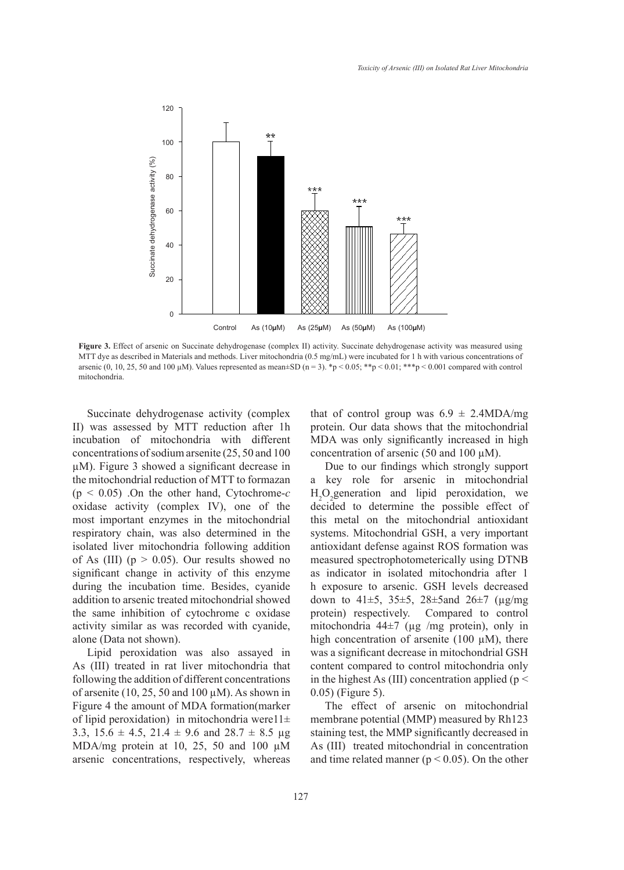

**Figure 3.** Effect of arsenic on Succinate dehydrogenase (complex II) activity. Succinate dehydrogenase activity was measured using MTT dye as described in Materials and methods. Liver mitochondria (0.5 mg/mL) were incubated for 1 h with various concentrations of arsenic (0, 10, 25, 50 and 100  $\mu$ M). Values represented as mean±SD (n = 3). \*p < 0.05; \*\*p < 0.01; \*\*\*p < 0.001 compared with control mitochondria.

Succinate dehydrogenase activity (complex II) was assessed by MTT reduction after 1h incubation of mitochondria with different concentrations of sodium arsenite (25, 50 and 100 µM). Figure 3 showed a significant decrease in the mitochondrial reduction of MTT to formazan (p < 0.05) .On the other hand, Cytochrome-*c*  oxidase activity (complex IV), one of the most important enzymes in the mitochondrial respiratory chain, was also determined in the isolated liver mitochondria following addition of As (III) ( $p > 0.05$ ). Our results showed no significant change in activity of this enzyme during the incubation time. Besides, cyanide addition to arsenic treated mitochondrial showed the same inhibition of cytochrome c oxidase activity similar as was recorded with cyanide, alone (Data not shown).

Lipid peroxidation was also assayed in As (III) treated in rat liver mitochondria that following the addition of different concentrations of arsenite (10, 25, 50 and 100  $\mu$ M). As shown in Figure 4 the amount of MDA formation(marker of lipid peroxidation) in mitochondria were11 $\pm$ 3.3,  $15.6 \pm 4.5$ ,  $21.4 \pm 9.6$  and  $28.7 \pm 8.5$  µg MDA/mg protein at 10, 25, 50 and 100  $\mu$ M arsenic concentrations, respectively, whereas that of control group was  $6.9 \pm 2.4 \text{MDA/mg}$ protein. Our data shows that the mitochondrial MDA was only significantly increased in high concentration of arsenic (50 and 100  $\mu$ M).

Due to our findings which strongly support a key role for arsenic in mitochondrial  $H_2O_2$  generation and lipid peroxidation, we decided to determine the possible effect of this metal on the mitochondrial antioxidant systems. Mitochondrial GSH, a very important antioxidant defense against ROS formation was measured spectrophotometerically using DTNB as indicator in isolated mitochondria after 1 h exposure to arsenic. GSH levels decreased down to  $41\pm5$ ,  $35\pm5$ ,  $28\pm5$  and  $26\pm7$  ( $\mu$ g/mg) protein) respectively. Compared to control mitochondria 44 $\pm$ 7 (µg /mg protein), only in high concentration of arsenite (100  $\mu$ M), there was a significant decrease in mitochondrial GSH content compared to control mitochondria only in the highest As (III) concentration applied ( $p <$ 0.05) (Figure 5).

The effect of arsenic on mitochondrial membrane potential (MMP) measured by Rh123 staining test, the MMP significantly decreased in As (III) treated mitochondrial in concentration and time related manner ( $p < 0.05$ ). On the other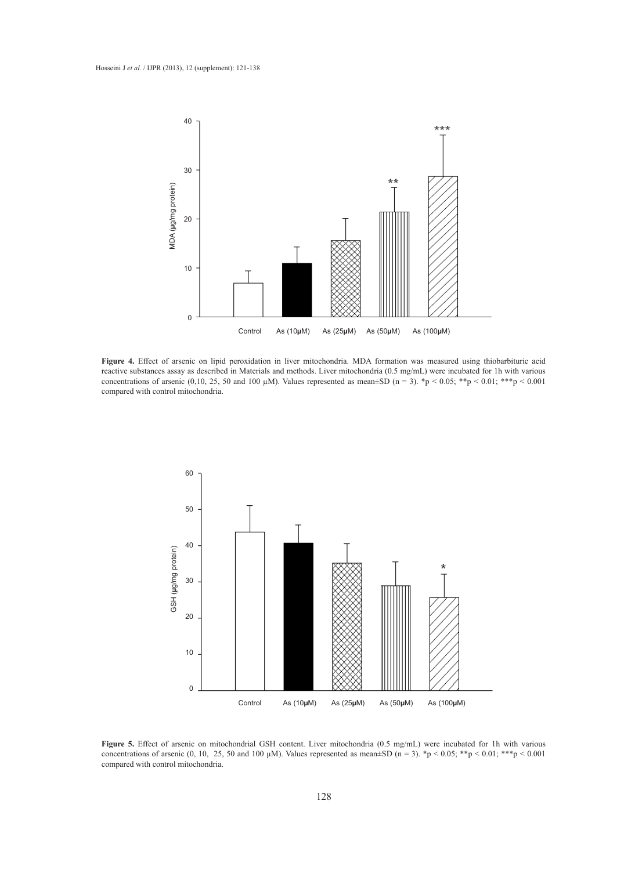

**Figure 4.** Effect of arsenic on lipid peroxidation in liver mitochondria. MDA formation was measured using thiobarbituric acid reactive substances assay as described in Materials and methods. Liver mitochondria (0.5 mg/mL) were incubated for 1h with various concentrations of arsenic (0,10, 25, 50 and 100  $\mu$ M). Values represented as mean±SD (n = 3). \*p < 0.05; \*\*p < 0.01; \*\*\*p < 0.001 compared with control mitochondria.



**Figure 5.** Effect of arsenic on mitochondrial GSH content. Liver mitochondria (0.5 mg/mL) were incubated for 1h with various concentrations of arsenic (0, 10, 25, 50 and 100  $\mu$ M). Values represented as mean±SD (n = 3). \*p < 0.05; \*\*p < 0.01; \*\*\*p < 0.001 compared with control mitochondria.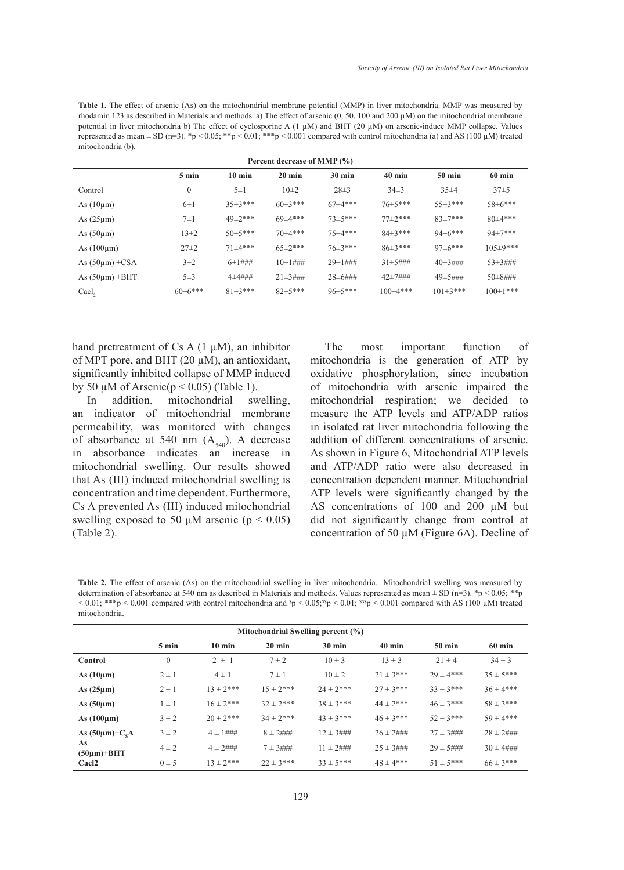**Table 1.** The effect of arsenic (As) on the mitochondrial membrane potential (MMP) in liver mitochondria. MMP was measured by rhodamin 123 as described in Materials and methods. a) The effect of arsenic (0, 50, 100 and 200 µM) on the mitochondrial membrane potential in liver mitochondria b) The effect of cyclosporine A  $(1 \mu M)$  and BHT (20  $\mu$ M) on arsenic-induce MMP collapse. Values represented as mean  $\pm$  SD (n=3). \*p < 0.05; \*\*p < 0.01; \*\*\*p < 0.001 compared with control mitochondria (a) and AS (100  $\mu$ M) treated mitochondria (b).

| Percent decrease of MMP (%) |                 |                    |                   |                     |                  |                   |                  |  |  |  |
|-----------------------------|-----------------|--------------------|-------------------|---------------------|------------------|-------------------|------------------|--|--|--|
|                             | $5 \text{ min}$ | $10 \text{ min}$   | $20 \text{ min}$  | $30 \text{ min}$    | $40 \text{ min}$ | $50 \text{ min}$  | $60 \text{ min}$ |  |  |  |
| Control                     | $\mathbf{0}$    | $5\pm1$            | $10\pm2$          | $28 \pm 3$          | $34\pm3$         | 35±4              | $37\pm5$         |  |  |  |
| As $(10 \mu m)$             | $6\pm1$         | $35\pm3***$        | $60\pm3***$       | $67\pm4***$         | $76\pm5***$      | $55 \pm 3***$     | $58\pm6***$      |  |  |  |
| As $(25 \mu m)$             | $7\pm1$         | $49\pm2***$        | $69 \pm 4***$     | $73+5***$           | $77+2***$        | $83+7***$         | $80+4***$        |  |  |  |
| As $(50 \mu m)$             | $13 + 2$        | $50+5***$          | $70+4***$         | $75+4***$           | $84+3***$        | $94\pm6***$       | $94+7***$        |  |  |  |
| As $(100 \mu m)$            | $27\pm2$        | $71+4***$          | $65 \pm 2***$     | $76\pm3***$         | $86\pm3***$      | $97 \pm 6$ ***    | $105 \pm 9$ ***  |  |  |  |
| As $(50\mu m)$ +CSA         | $3\pm2$         | $6 \pm 1 \# \# \#$ | $10±1\#$ ##       | $29 \pm 1 \# 4$     | $31\pm5\#$       | $40\pm 3\# \# \#$ | $53\pm3\#$ ##    |  |  |  |
| As $(50\mu m)$ +BHT         | $5\pm3$         | $4 + 4$ ###        | $21\pm 3\# \# \#$ | $28 \pm 6 \# \# \#$ | $42+7$ ###       | $49\pm 5\# \# \#$ | $50\pm8\#$ ##    |  |  |  |
| Cacl <sub>2</sub>           | $60\pm6***$     | $81\pm3***$        | $82 \pm 5$ ***    | $96\pm5***$         | $100\pm4***$     | $101\pm3***$      | $100 \pm 1***$   |  |  |  |

hand pretreatment of Cs A  $(1 \mu M)$ , an inhibitor of MPT pore, and BHT (20  $\mu$ M), an antioxidant, significantly inhibited collapse of MMP induced by 50  $\mu$ M of Arsenic( $p < 0.05$ ) (Table 1).

In addition, mitochondrial swelling, an indicator of mitochondrial membrane permeability, was monitored with changes of absorbance at 540 nm  $(A_{540})$ . A decrease in absorbance indicates an increase in mitochondrial swelling. Our results showed that As (III) induced mitochondrial swelling is concentration and time dependent. Furthermore, Cs A prevented As (III) induced mitochondrial swelling exposed to 50  $\mu$ M arsenic (p < 0.05) (Table 2).

The most important function of mitochondria is the generation of ATP by oxidative phosphorylation, since incubation of mitochondria with arsenic impaired the mitochondrial respiration; we decided to measure the ATP levels and ATP/ADP ratios in isolated rat liver mitochondria following the addition of different concentrations of arsenic. As shown in Figure 6, Mitochondrial ATP levels and ATP/ADP ratio were also decreased in concentration dependent manner. Mitochondrial ATP levels were significantly changed by the AS concentrations of 100 and 200 µM but did not significantly change from control at concentration of 50 µM (Figure 6A). Decline of

Table 2. The effect of arsenic (As) on the mitochondrial swelling in liver mitochondria. Mitochondrial swelling was measured by determination of absorbance at 540 nm as described in Materials and methods. Values represented as mean  $\pm$  SD (n=3). \*p < 0.05; \*\*p  $< 0.01$ ; \*\*\*p  $< 0.001$  compared with control mitochondria and  ${}^{\rm s}p < 0.05; {}^{\rm ss}p < 0.01$ ;  ${}^{\rm sssp} < 0.001$  compared with AS (100 µM) treated mitochondria.

| Mitochondrial Swelling percent $(\% )$ |                 |                   |                   |                    |                    |                  |                    |  |  |  |
|----------------------------------------|-----------------|-------------------|-------------------|--------------------|--------------------|------------------|--------------------|--|--|--|
|                                        | $5 \text{ min}$ | $10 \text{ min}$  | $20 \text{ min}$  | $30 \text{ min}$   | $40 \text{ min}$   | $50 \text{ min}$ | 60 min             |  |  |  |
| Control                                | $\mathbf{0}$    | $2 \pm 1$         | $7 \pm 2$         | $10 \pm 3$         | $13 \pm 3$         | $21 \pm 4$       | $34 \pm 3$         |  |  |  |
| As $(10 \mu m)$                        | $2 \pm 1$       | $4 \pm 1$         | $7 \pm 1$         | $10 \pm 2$         | $21 \pm 3$ ***     | $29 \pm 4***$    | $35 \pm 5***$      |  |  |  |
| As $(25 \mu m)$                        | $2 \pm 1$       | $13 + 2***$       | $15 \pm 2***$     | $24 \pm 2***$      | $27 \pm 3***$      | $33 + 3***$      | $36 \pm 4***$      |  |  |  |
| As $(50\mu m)$                         | $1 \pm 1$       | $16 \pm 2***$     | $32 \pm 2***$     | $38 \pm 3***$      | $44 \pm 2***$      | $46 \pm 3$ ***   | $58 \pm 3***$      |  |  |  |
| As $(100 \mu m)$                       | $3 \pm 2$       | $20 \pm 2***$     | $34 \pm 2***$     | $43 \pm 3$ ***     | $46 \pm 3***$      | $52 \pm 3***$    | $59 \pm 4***$      |  |  |  |
| As $(50\mu m)$ +C <sub>s</sub> A       | $3 \pm 2$       | $4 \pm 1 \# 4$    | $8 \pm 2\# \# \#$ | $12 \pm 3\#$ ##    | $26 \pm 2\# \# \#$ | $27 \pm 3\#$ ##  | $28 \pm 2\# \# \#$ |  |  |  |
| As<br>$(50\mu m)$ +BHT                 | $4 \pm 2$       | $4 \pm 2\# \# \#$ | $7 + 3###$        | $11 \pm 2\# \# \#$ | $25 \pm 3\#$       | $29 \pm 5\#$     | $30 \pm 4\# \# \#$ |  |  |  |
| Cacl <sub>2</sub>                      | $0 \pm 5$       | $13 + 2***$       | $22 \pm 3$ ***    | $33 + 5***$        | $48 \pm 4***$      | $51 \pm 5***$    | $66 \pm 3***$      |  |  |  |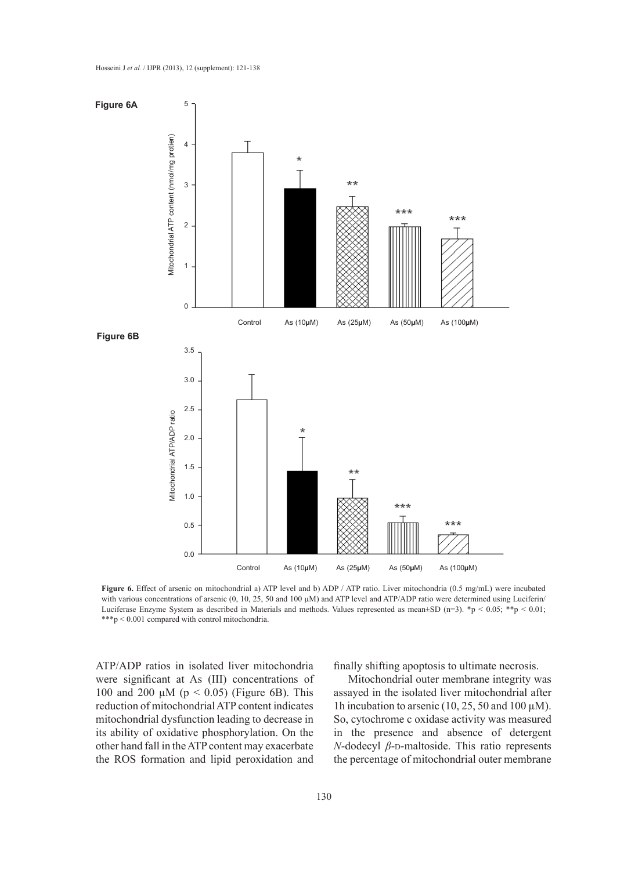

**Figure 6.** Effect of arsenic on mitochondrial a) ATP level and b) ADP / ATP ratio. Liver mitochondria (0.5 mg/mL) were incubated with various concentrations of arsenic (0, 10, 25, 50 and 100  $\mu$ M) and ATP level and ATP/ADP ratio were determined using Luciferin/ Luciferase Enzyme System as described in Materials and methods. Values represented as mean±SD (n=3). \*p < 0.05; \*\*p < 0.01; \*\*\*p < 0.001 compared with control mitochondria.

ATP/ADP ratios in isolated liver mitochondria were significant at As (III) concentrations of 100 and 200  $\mu$ M (p < 0.05) (Figure 6B). This reduction of mitochondrial ATP content indicates mitochondrial dysfunction leading to decrease in its ability of oxidative phosphorylation. On the other hand fall in the ATP content may exacerbate the ROS formation and lipid peroxidation and

finally shifting apoptosis to ultimate necrosis.

Mitochondrial outer membrane integrity was assayed in the isolated liver mitochondrial after 1h incubation to arsenic (10, 25, 50 and 100  $\mu$ M). So, cytochrome c oxidase activity was measured in the presence and absence of detergent *N*-dodecyl  $β$ -D-maltoside. This ratio represents the percentage of mitochondrial outer membrane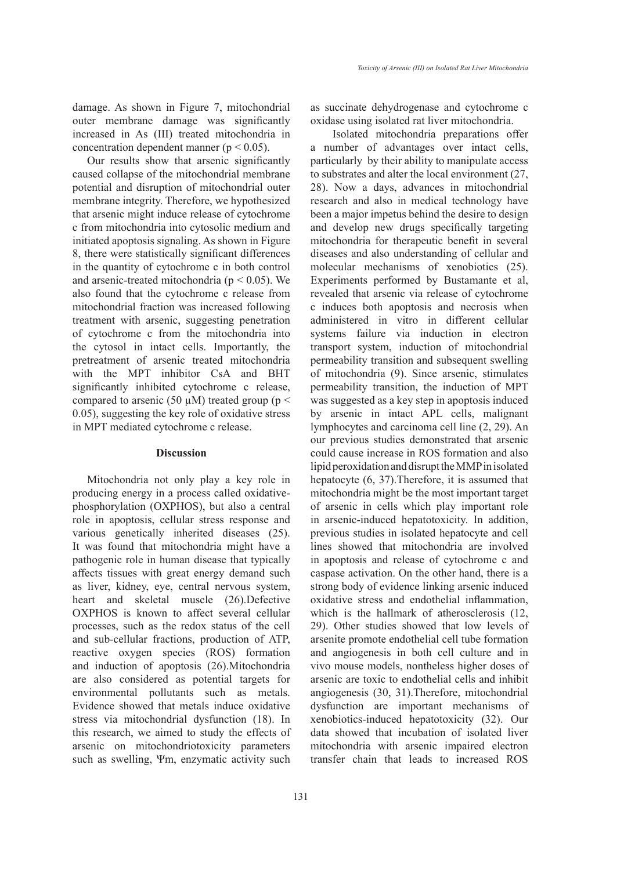damage. As shown in Figure 7, mitochondrial outer membrane damage was significantly increased in As (III) treated mitochondria in concentration dependent manner ( $p < 0.05$ ).

Our results show that arsenic significantly caused collapse of the mitochondrial membrane potential and disruption of mitochondrial outer membrane integrity. Therefore, we hypothesized that arsenic might induce release of cytochrome c from mitochondria into cytosolic medium and initiated apoptosis signaling. As shown in Figure 8, there were statistically significant differences in the quantity of cytochrome c in both control and arsenic-treated mitochondria ( $p < 0.05$ ). We also found that the cytochrome c release from mitochondrial fraction was increased following treatment with arsenic, suggesting penetration of cytochrome c from the mitochondria into the cytosol in intact cells. Importantly, the pretreatment of arsenic treated mitochondria with the MPT inhibitor CsA and BHT significantly inhibited cytochrome c release, compared to arsenic (50  $\mu$ M) treated group (p < 0.05), suggesting the key role of oxidative stress in MPT mediated cytochrome c release.

## **Discussion**

Mitochondria not only play a key role in producing energy in a process called oxidativephosphorylation (OXPHOS), but also a central role in apoptosis, cellular stress response and various genetically inherited diseases (25). It was found that mitochondria might have a pathogenic role in human disease that typically affects tissues with great energy demand such as liver, kidney, eye, central nervous system, heart and skeletal muscle (26).Defective OXPHOS is known to affect several cellular processes, such as the redox status of the cell and sub-cellular fractions, production of ATP, reactive oxygen species (ROS) formation and induction of apoptosis (26).Mitochondria are also considered as potential targets for environmental pollutants such as metals. Evidence showed that metals induce oxidative stress via mitochondrial dysfunction (18). In this research, we aimed to study the effects of arsenic on mitochondriotoxicity parameters such as swelling, Ψm, enzymatic activity such

131

as succinate dehydrogenase and cytochrome c oxidase using isolated rat liver mitochondria.

 Isolated mitochondria preparations offer a number of advantages over intact cells, particularly by their ability to manipulate access to substrates and alter the local environment (27, 28). Now a days, advances in mitochondrial research and also in medical technology have been a major impetus behind the desire to design and develop new drugs specifically targeting mitochondria for therapeutic benefit in several diseases and also understanding of cellular and molecular mechanisms of xenobiotics (25). Experiments performed by Bustamante et al, revealed that arsenic via release of cytochrome c induces both apoptosis and necrosis when administered in vitro in different cellular systems failure via induction in electron transport system, induction of mitochondrial permeability transition and subsequent swelling of mitochondria (9). Since arsenic, stimulates permeability transition, the induction of MPT was suggested as a key step in apoptosis induced by arsenic in intact APL cells, malignant lymphocytes and carcinoma cell line (2, 29). An our previous studies demonstrated that arsenic could cause increase in ROS formation and also lipid peroxidation and disrupt the MMP in isolated hepatocyte (6, 37).Therefore, it is assumed that mitochondria might be the most important target of arsenic in cells which play important role in arsenic-induced hepatotoxicity. In addition, previous studies in isolated hepatocyte and cell lines showed that mitochondria are involved in apoptosis and release of cytochrome c and caspase activation. On the other hand, there is a strong body of evidence linking arsenic induced oxidative stress and endothelial inflammation, which is the hallmark of atherosclerosis (12, 29). Other studies showed that low levels of arsenite promote endothelial cell tube formation and angiogenesis in both cell culture and in vivo mouse models, nontheless higher doses of arsenic are toxic to endothelial cells and inhibit angiogenesis (30, 31).Therefore, mitochondrial dysfunction are important mechanisms of xenobiotics-induced hepatotoxicity (32). Our data showed that incubation of isolated liver mitochondria with arsenic impaired electron transfer chain that leads to increased ROS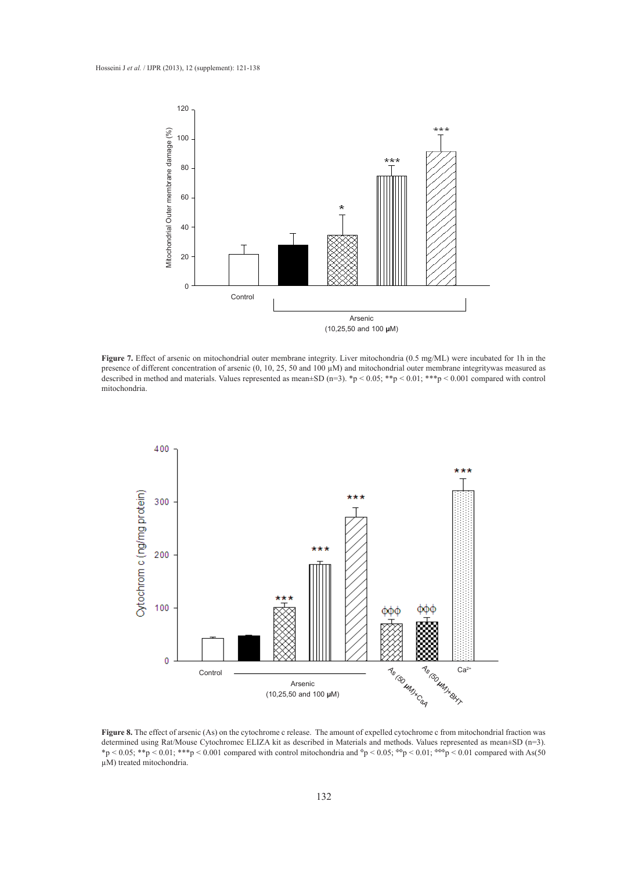

**Figure 7.** Effect of arsenic on mitochondrial outer membrane integrity. Liver mitochondria (0.5 mg/ML) were incubated for 1h in the presence of different concentration of arsenic (0, 10, 25, 50 and 100 µM) and mitochondrial outer membrane integritywas measured as described in method and materials. Values represented as mean±SD (n=3). \*p < 0.05; \*\*p < 0.01; \*\*\*p < 0.001 compared with control mitochondria.



**Figure 8.** The effect of arsenic (As) on the cytochrome c release. The amount of expelled cytochrome c from mitochondrial fraction was determined using Rat/Mouse Cytochromec ELIZA kit as described in Materials and methods. Values represented as mean±SD (n=3). \*p < 0.05; \*\*p < 0.01; \*\*\*p < 0.001 compared with control mitochondria and  ${}^{\circ}p$  < 0.05;  ${}^{\circ}{}^{\circ}p$  < 0.01;  ${}^{\circ}{}^{\circ}{}^{\circ}p$  < 0.01 compared with As(50 µM) treated mitochondria.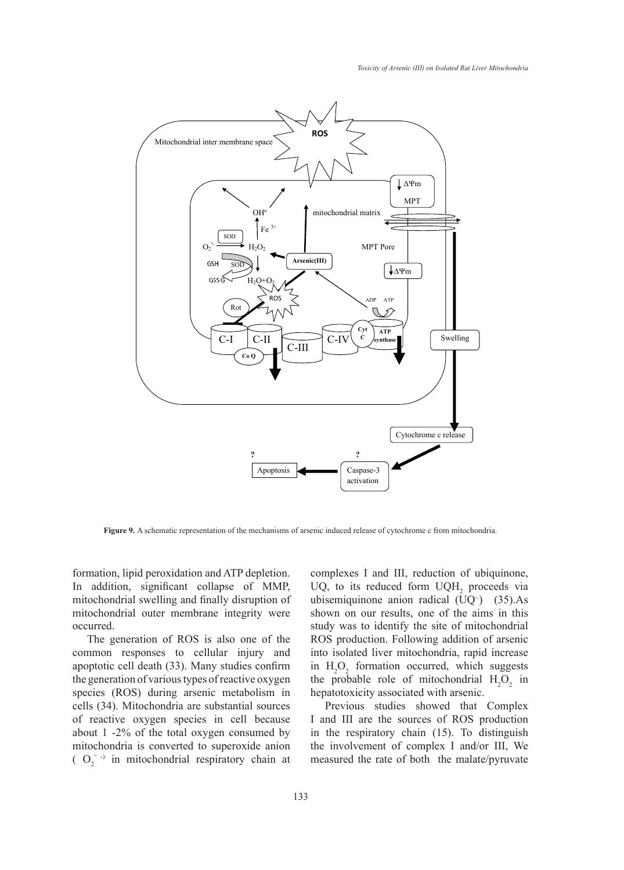

**Figure 9.** A schematic representation of the mechanisms of arsenic induced release of cytochrome c from mitochondria.

formation, lipid peroxidation and ATP depletion. In addition, significant collapse of MMP, mitochondrial swelling and finally disruption of mitochondrial outer membrane integrity were occurred.

The generation of ROS is also one of the common responses to cellular injury and apoptotic cell death (33). Many studies confirm the generation of various types of reactive oxygen species (ROS) during arsenic metabolism in cells (34). Mitochondria are substantial sources of reactive oxygen species in cell because about 1 -2% of the total oxygen consumed by mitochondria is converted to superoxide anion  $(O_2^{\circ})$  in mitochondrial respiratory chain at complexes I and III, reduction of ubiquinone, UQ, to its reduced form  $UQH_2$  proceeds via ubisemiquinone anion radical  $(UQ^-)$  (35).As shown on our results, one of the aims in this study was to identify the site of mitochondrial ROS production. Following addition of arsenic into isolated liver mitochondria, rapid increase in  $H_2O_2$  formation occurred, which suggests the probable role of mitochondrial  $H_2O_2$  in hepatotoxicity associated with arsenic.

Previous studies showed that Complex I and III are the sources of ROS production in the respiratory chain (15). To distinguish the involvement of complex I and/or III, We measured the rate of both the malate/pyruvate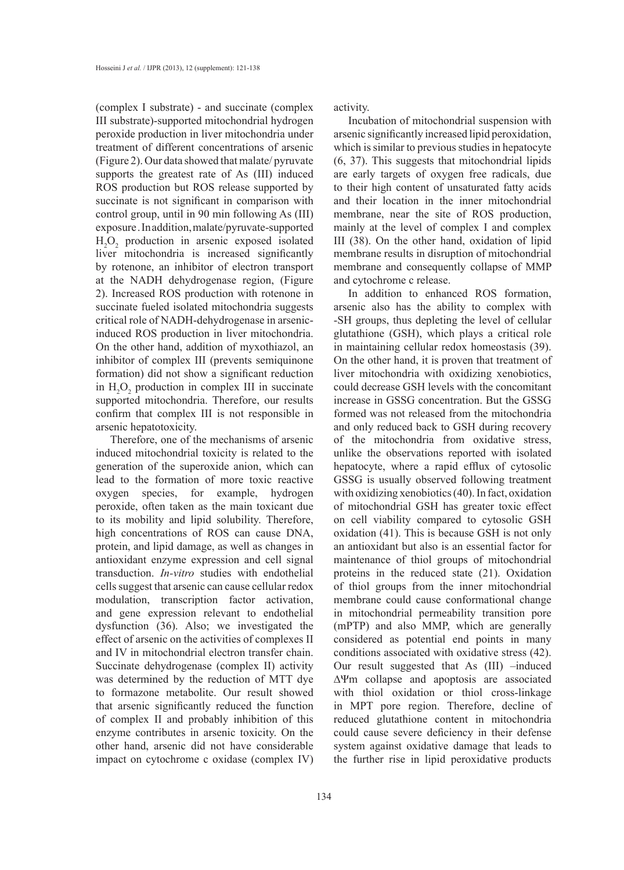(complex I substrate) - and succinate (complex III substrate)-supported mitochondrial hydrogen peroxide production in liver mitochondria under treatment of different concentrations of arsenic (Figure 2). Our data showed that malate/ pyruvate supports the greatest rate of As (III) induced ROS production but ROS release supported by succinate is not significant in comparison with control group, until in 90 min following As (III) exposure . In addition, malate/pyruvate-supported  $H_2O_2$  production in arsenic exposed isolated liver mitochondria is increased significantly by rotenone, an inhibitor of electron transport at the NADH dehydrogenase region, (Figure 2). Increased ROS production with rotenone in succinate fueled isolated mitochondria suggests critical role of NADH-dehydrogenase in arsenicinduced ROS production in liver mitochondria. On the other hand, addition of myxothiazol, an inhibitor of complex III (prevents semiquinone formation) did not show a significant reduction in  $H_2O_2$  production in complex III in succinate supported mitochondria. Therefore, our results confirm that complex III is not responsible in arsenic hepatotoxicity.

Therefore, one of the mechanisms of arsenic induced mitochondrial toxicity is related to the generation of the superoxide anion, which can lead to the formation of more toxic reactive oxygen species, for example, hydrogen peroxide, often taken as the main toxicant due to its mobility and lipid solubility. Therefore, high concentrations of ROS can cause DNA, protein, and lipid damage, as well as changes in antioxidant enzyme expression and cell signal transduction. *In-vitro* studies with endothelial cells suggest that arsenic can cause cellular redox modulation, transcription factor activation, and gene expression relevant to endothelial dysfunction (36). Also; we investigated the effect of arsenic on the activities of complexes II and IV in mitochondrial electron transfer chain. Succinate dehydrogenase (complex II) activity was determined by the reduction of MTT dye to formazone metabolite. Our result showed that arsenic significantly reduced the function of complex II and probably inhibition of this enzyme contributes in arsenic toxicity. On the other hand, arsenic did not have considerable impact on cytochrome c oxidase (complex IV) activity.

Incubation of mitochondrial suspension with arsenic significantly increased lipid peroxidation, which is similar to previous studies in hepatocyte (6, 37). This suggests that mitochondrial lipids are early targets of oxygen free radicals, due to their high content of unsaturated fatty acids and their location in the inner mitochondrial membrane, near the site of ROS production, mainly at the level of complex I and complex III (38). On the other hand, oxidation of lipid membrane results in disruption of mitochondrial membrane and consequently collapse of MMP and cytochrome c release.

In addition to enhanced ROS formation, arsenic also has the ability to complex with -SH groups, thus depleting the level of cellular glutathione (GSH), which plays a critical role in maintaining cellular redox homeostasis (39). On the other hand, it is proven that treatment of liver mitochondria with oxidizing xenobiotics, could decrease GSH levels with the concomitant increase in GSSG concentration. But the GSSG formed was not released from the mitochondria and only reduced back to GSH during recovery of the mitochondria from oxidative stress, unlike the observations reported with isolated hepatocyte, where a rapid efflux of cytosolic GSSG is usually observed following treatment with oxidizing xenobiotics (40). In fact, oxidation of mitochondrial GSH has greater toxic effect on cell viability compared to cytosolic GSH oxidation (41). This is because GSH is not only an antioxidant but also is an essential factor for maintenance of thiol groups of mitochondrial proteins in the reduced state (21). Oxidation of thiol groups from the inner mitochondrial membrane could cause conformational change in mitochondrial permeability transition pore (mPTP) and also MMP, which are generally considered as potential end points in many conditions associated with oxidative stress (42). Our result suggested that As (III) –induced ∆Ψm collapse and apoptosis are associated with thiol oxidation or thiol cross-linkage in MPT pore region. Therefore, decline of reduced glutathione content in mitochondria could cause severe deficiency in their defense system against oxidative damage that leads to the further rise in lipid peroxidative products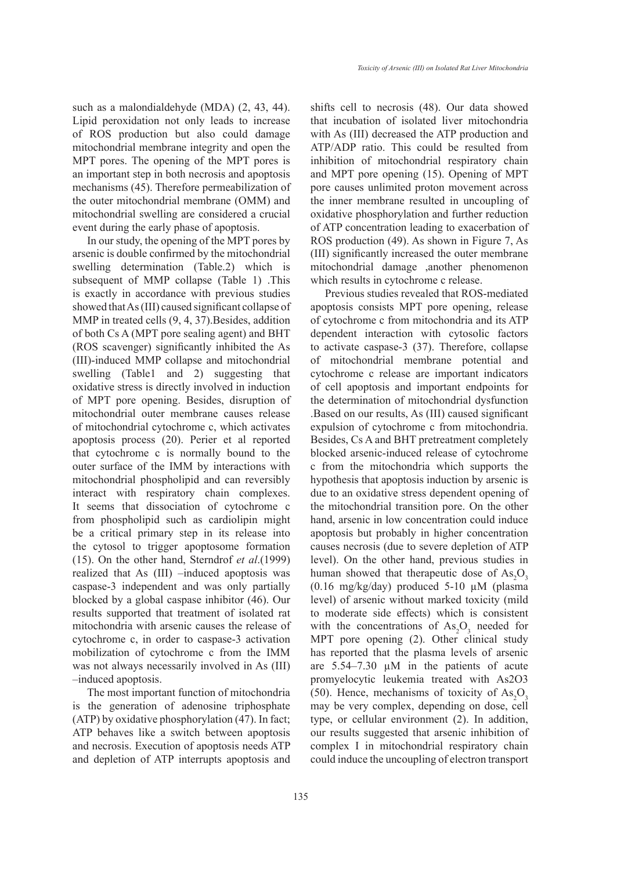such as a malondialdehyde (MDA) (2, 43, 44). Lipid peroxidation not only leads to increase of ROS production but also could damage mitochondrial membrane integrity and open the MPT pores. The opening of the MPT pores is an important step in both necrosis and apoptosis mechanisms (45). Therefore permeabilization of the outer mitochondrial membrane (OMM) and mitochondrial swelling are considered a crucial event during the early phase of apoptosis.

In our study, the opening of the MPT pores by arsenic is double confirmed by the mitochondrial swelling determination (Table.2) which is subsequent of MMP collapse (Table 1) .This is exactly in accordance with previous studies showed that As (III) caused significant collapse of MMP in treated cells  $(9, 4, 37)$ . Besides, addition of both Cs A (MPT pore sealing agent) and BHT (ROS scavenger) significantly inhibited the As (III)-induced MMP collapse and mitochondrial swelling (Table1 and 2) suggesting that oxidative stress is directly involved in induction of MPT pore opening. Besides, disruption of mitochondrial outer membrane causes release of mitochondrial cytochrome c, which activates apoptosis process (20). Perier et al reported that cytochrome c is normally bound to the outer surface of the IMM by interactions with mitochondrial phospholipid and can reversibly interact with respiratory chain complexes. It seems that dissociation of cytochrome c from phospholipid such as cardiolipin might be a critical primary step in its release into the cytosol to trigger apoptosome formation (15). On the other hand, Sterndrof *et al*.(1999) realized that As (III) –induced apoptosis was caspase-3 independent and was only partially blocked by a global caspase inhibitor (46). Our results supported that treatment of isolated rat mitochondria with arsenic causes the release of cytochrome c, in order to caspase-3 activation mobilization of cytochrome c from the IMM was not always necessarily involved in As (III) –induced apoptosis.

The most important function of mitochondria is the generation of adenosine triphosphate (ATP) by oxidative phosphorylation (47). In fact; ATP behaves like a switch between apoptosis and necrosis. Execution of apoptosis needs ATP and depletion of ATP interrupts apoptosis and shifts cell to necrosis (48). Our data showed that incubation of isolated liver mitochondria with As (III) decreased the ATP production and ATP/ADP ratio. This could be resulted from inhibition of mitochondrial respiratory chain and MPT pore opening (15). Opening of MPT pore causes unlimited proton movement across the inner membrane resulted in uncoupling of oxidative phosphorylation and further reduction of ATP concentration leading to exacerbation of ROS production (49). As shown in Figure 7, As (III) significantly increased the outer membrane mitochondrial damage ,another phenomenon which results in cytochrome c release.

Previous studies revealed that ROS-mediated apoptosis consists MPT pore opening, release of cytochrome c from mitochondria and its ATP dependent interaction with cytosolic factors to activate caspase-3 (37). Therefore, collapse of mitochondrial membrane potential and cytochrome c release are important indicators of cell apoptosis and important endpoints for the determination of mitochondrial dysfunction .Based on our results, As (III) caused significant expulsion of cytochrome c from mitochondria. Besides, Cs A and BHT pretreatment completely blocked arsenic-induced release of cytochrome c from the mitochondria which supports the hypothesis that apoptosis induction by arsenic is due to an oxidative stress dependent opening of the mitochondrial transition pore. On the other hand, arsenic in low concentration could induce apoptosis but probably in higher concentration causes necrosis (due to severe depletion of ATP level). On the other hand, previous studies in human showed that therapeutic dose of  $\text{As}_2\text{O}_3$ (0.16 mg/kg/day) produced  $5-10 \mu M$  (plasma) level) of arsenic without marked toxicity (mild to moderate side effects) which is consistent with the concentrations of  $\text{As}_2\text{O}_3$  needed for MPT pore opening (2). Other clinical study has reported that the plasma levels of arsenic are  $5.54-7.30 \mu M$  in the patients of acute promyelocytic leukemia treated with As2O3 (50). Hence, mechanisms of toxicity of  $\text{As}_2\text{O}_3$ may be very complex, depending on dose, cell type, or cellular environment (2). In addition, our results suggested that arsenic inhibition of complex I in mitochondrial respiratory chain could induce the uncoupling of electron transport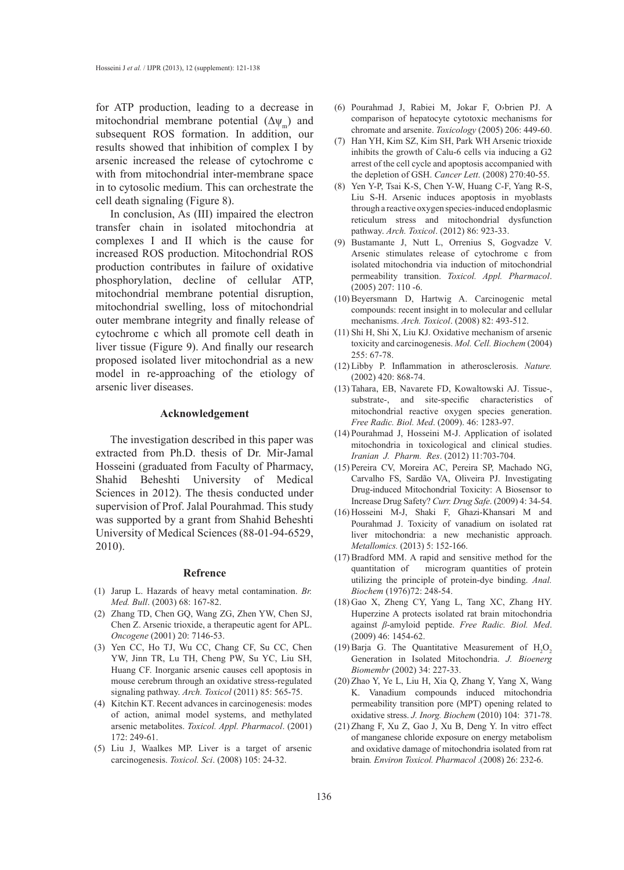for ATP production, leading to a decrease in mitochondrial membrane potential  $(\Delta \psi_m)$  and subsequent ROS formation. In addition, our results showed that inhibition of complex I by arsenic increased the release of cytochrome c with from mitochondrial inter-membrane space in to cytosolic medium. This can orchestrate the cell death signaling (Figure 8).

In conclusion, As (III) impaired the electron transfer chain in isolated mitochondria at complexes I and II which is the cause for increased ROS production. Mitochondrial ROS production contributes in failure of oxidative phosphorylation, decline of cellular ATP, mitochondrial membrane potential disruption, mitochondrial swelling, loss of mitochondrial outer membrane integrity and finally release of cytochrome c which all promote cell death in liver tissue (Figure 9). And finally our research proposed isolated liver mitochondrial as a new model in re-approaching of the etiology of arsenic liver diseases.

#### **Acknowledgement**

The investigation described in this paper was extracted from Ph.D. thesis of Dr. Mir-Jamal Hosseini (graduated from Faculty of Pharmacy, Shahid Beheshti University of Medical Sciences in 2012). The thesis conducted under supervision of Prof. Jalal Pourahmad. This study was supported by a grant from Shahid Beheshti University of Medical Sciences (88-01-94-6529, 2010).

#### **Refrence**

- (1) Jarup L. Hazards of heavy metal contamination. *Br. Med. Bull*. (2003) 68: 167-82.
- (2) Zhang TD, Chen GQ, Wang ZG, Zhen YW, Chen SJ, Chen Z. Arsenic trioxide, a therapeutic agent for APL. *Oncogene* (2001) 20: 7146-53.
- (3) Yen CC, Ho TJ, Wu CC, Chang CF, Su CC, Chen YW, Jinn TR, Lu TH, Cheng PW, Su YC, Liu SH, Huang CF. Inorganic arsenic causes cell apoptosis in mouse cerebrum through an oxidative stress-regulated signaling pathway. *Arch. Toxicol* (2011) 85: 565-75.
- (4) Kitchin KT. Recent advances in carcinogenesis: modes of action, animal model systems, and methylated arsenic metabolites. *Toxicol. Appl. Pharmacol*. (2001)  $172: 249-61$
- Liu J, Waalkes MP. Liver is a target of arsenic (5)carcinogenesis. *Toxicol. Sci*. (2008) 105: 24-32.
- Pourahmad J, Rabiei M, Jokar F, O›brien PJ. A (6) comparison of hepatocyte cytotoxic mechanisms for chromate and arsenite. *Toxicology* (2005) 206: 449-60.
- (7) Han YH, Kim SZ, Kim SH, Park WH Arsenic trioxide inhibits the growth of Calu-6 cells via inducing a G2 arrest of the cell cycle and apoptosis accompanied with the depletion of GSH. *Cancer Lett*. (2008) 270:40-55.
- Yen Y-P, Tsai K-S, Chen Y-W, Huang C-F, Yang R-S, (8) Liu S-H. Arsenic induces apoptosis in myoblasts through a reactive oxygen species-induced endoplasmic reticulum stress and mitochondrial dysfunction pathway. *Arch. Toxicol*. (2012) 86: 923-33.
- (9) Bustamante J, Nutt L, Orrenius S, Gogvadze V. Arsenic stimulates release of cytochrome c from isolated mitochondria via induction of mitochondrial permeability transition. *Toxicol. Appl. Pharmacol*. (2005) 207: 110 -6.
- (10) Beyersmann D, Hartwig A. Carcinogenic metal compounds: recent insight in to molecular and cellular mechanisms. *Arch. Toxicol*. (2008) 82: 493-512.
- $(11)$  Shi H, Shi X, Liu KJ. Oxidative mechanism of arsenic toxicity and carcinogenesis. *Mol. Cell. Biochem* (2004) 255: 67-78.
- (12) Libby P. Inflammation in atherosclerosis. *Nature*. (2002) 420: 868-74.
- (13) Tahara, EB, Navarete FD, Kowaltowski AJ. Tissue-, substrate-, and site-specific characteristics of mitochondrial reactive oxygen species generation. *Free Radic. Biol. Med*. (2009). 46: 1283-97.
- (14) Pourahmad J, Hosseini M-J. Application of isolated mitochondria in toxicological and clinical studies. *Iranian J. Pharm. Res*. (2012) 11:703-704.
- (15) Pereira CV, Moreira AC, Pereira SP, Machado NG, Carvalho FS, Sardão VA, Oliveira PJ. Investigating Drug-induced Mitochondrial Toxicity: A Biosensor to Increase Drug Safety? *Curr. Drug Safe*. (2009) 4: 34-54.
- (16) Hosseini M-J, Shaki F, Ghazi-Khansari M and Pourahmad J. Toxicity of vanadium on isolated rat liver mitochondria: a new mechanistic approach. *Metallomics.* (2013) 5: 152-166.
- $(17)$  Bradford MM. A rapid and sensitive method for the quantitation of microgram quantities of protein utilizing the principle of protein-dye binding. *Anal. Biochem* (1976)72: 248-54.
- (18) Gao X, Zheng CY, Yang L, Tang XC, Zhang HY. Huperzine A protects isolated rat brain mitochondria against *β*-amyloid peptide. *Free Radic. Biol. Med*. (2009) 46: 1454-62.
- (19) Barja G. The Quantitative Measurement of  $H_2O_2$ Generation in Isolated Mitochondria. *J. Bioenerg Biomembr* (2002) 34: 227-33.
- (20) Zhao Y, Ye L, Liu H, Xia Q, Zhang Y, Yang X, Wang K. Vanadium compounds induced mitochondria permeability transition pore (MPT) opening related to oxidative stress. *J. Inorg. Biochem* (2010) 104: 371-78.
- (21) Zhang F, Xu Z, Gao J, Xu B, Deng Y. In vitro effect of manganese chloride exposure on energy metabolism and oxidative damage of mitochondria isolated from rat brain*. Environ Toxicol. Pharmacol* .(2008) 26: 232-6.